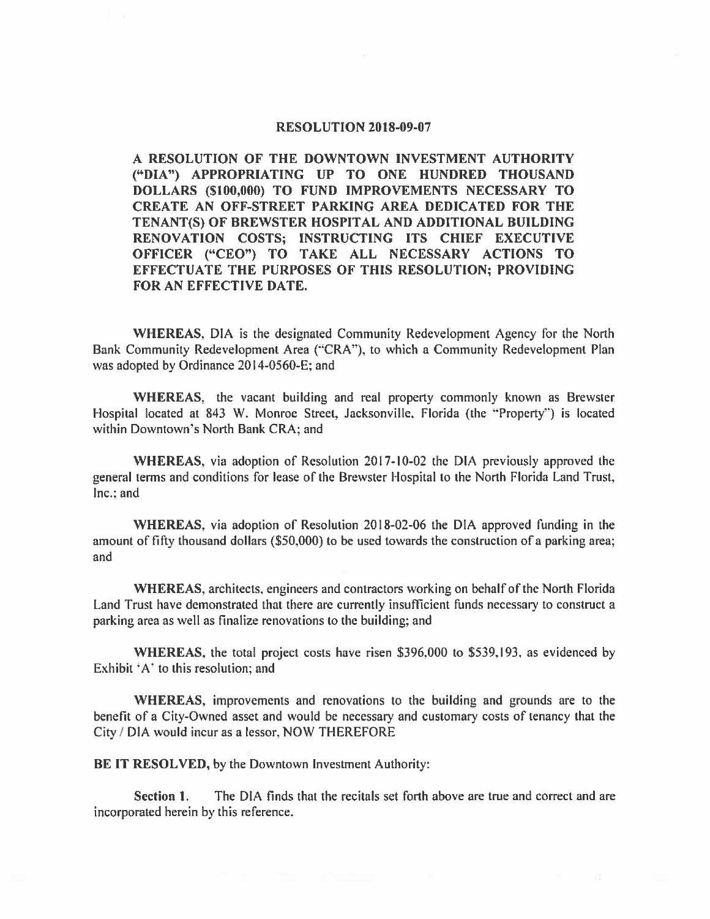### **RESOLUTION 2018-09-07**

**A RESOLUTION OF THE DOWNTOWN INVESTMENT AUTHORITY ("DIA") APPROPRIATING UP TO ONE HUNDRED THOUSAND DOLLARS (\$100,000) TO FUND IMPROVEMENTS NECESSARY TO CREATE AN OFF-STREET PARKING AREA DEDICATED FOR THE TENANT(S) OF BREWSTER HOSPITAL AND ADDITIONAL BUILDING RENOVATION COSTS; INSTRUCTING ITS CHIEF EXECUTIVE OFFICER ("CEO") TO TAKE ALL NECESSARY ACTIONS TO EFFECTUATE THE PURPOSES OF THIS RESOLUTION; PROVIDING FOR AN EFFECTIVE DATE.** 

**WHEREAS,** DIA is the designated Community Redevelopment Agency for the North Bank Community Redevelopment Area ("CRA"), to which a Community Redevelopment Plan was adopted by Ordinance 2014-0560-E; and

**WHEREAS,** the vacant building and real property commonly known as Brewster Hospital located at 843 W. Monroe Street, Jacksonville, Florida (the "Property") is located within Downtown's North Bank CRA; and

**WHEREAS,** via adoption of Resolution 2017-10-02 the DIA previously approved the general terms and conditions for lease of the Brewster Hospital to the North Florida Land Trust, Inc.: and

**WHEREAS,** via adoption of Resolution 2018-02-06 the DIA approved funding in the amount of fifty thousand dollars (\$50,000) to be used towards the construction of a parking area; and

**WHEREAS,** architects, engineers and contractors working on behalf of the North Florida Land Trust have demonstrated that there are currently insufficient funds necessary to construct a parking area as well as finalize renovations to the building; and

**WHEREAS,** the total project costs have risen \$396,000 to \$539,193, as evidenced by Exhibit 'A' to this resolution; and

**WHEREAS,** improvements and renovations to the building and grounds are to the benefit of a City-Owned asset and would be necessary and customary costs of tenancy that the City / DIA would incur as a lessor, NOW THEREFORE

**BE IT RESOLVED,** by the Downtown Investment Authority:

Section 1. The DIA finds that the recitals set forth above are true and correct and are incorporated herein by this reference.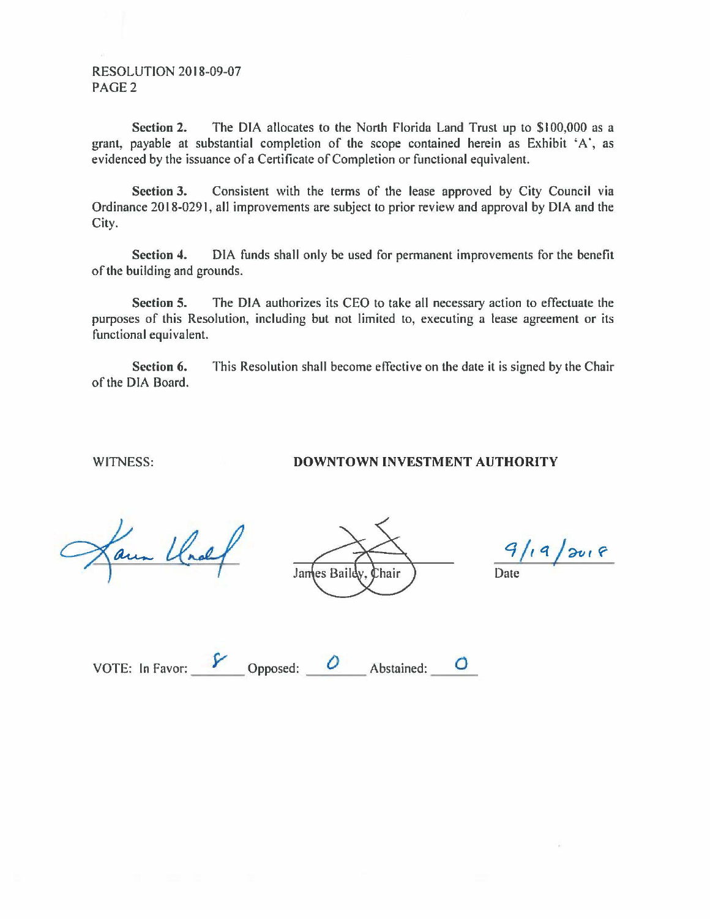### RESOLUTION 2018-09-07 PAGE2

**Section 2.** The DIA allocates to the North Florida Land Trust up to \$100,000 as a grant, payable at substantial completion of the scope contained herein as Exhibit 'A·, as evidenced by the issuance of a Certificate of Completion or functional equivalent.

**Section 3.** Consistent with the terms of the lease approved by City Council via Ordinance 2018-0291, all improvements are subject to prior review and approval by DIA and the City.

**Section 4.** DIA funds shall only be used for permanent improvements for the benefit of the building and grounds.

**Section 5.** The DIA authorizes its CEO to take all necessary action to effectuate the purposes of this Resolution, including but not limited to, executing a lease agreement or its functional equivalent.

**Section 6.** This Resolution shall become effective on the date it is signed by the Chair of the DIA Board.

### WITNESS: **DOWNTOWN INVESTMENT AUTHORITY**

aun Und

James Baildy. Chair

 $9/19/8018$ Date

| VOTE: In Favor: | Opposed: | Abstained: |  |
|-----------------|----------|------------|--|
|                 |          |            |  |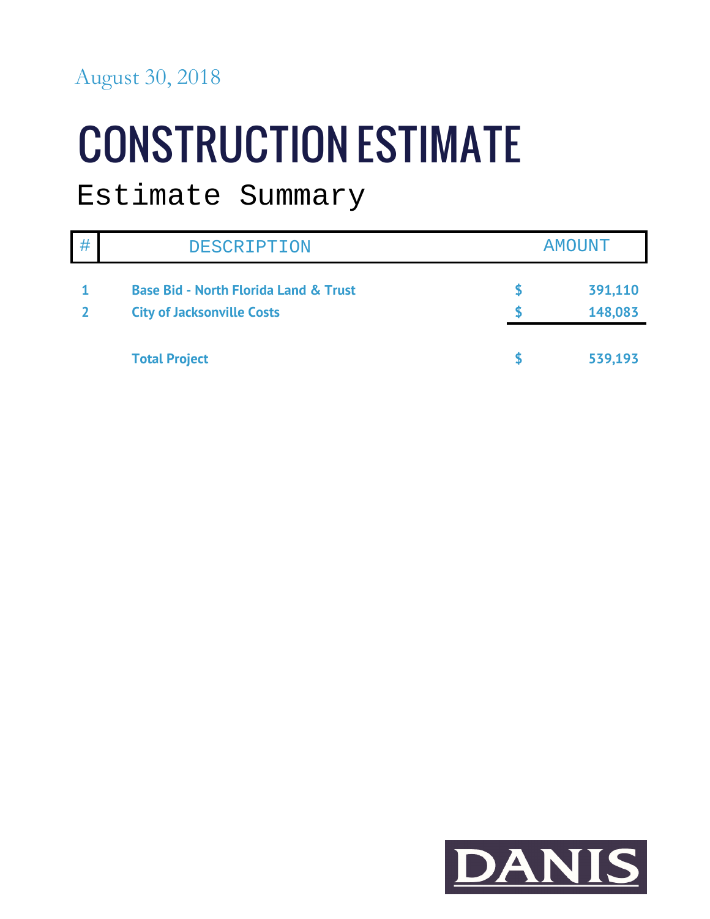### August 30, 2018

# **CONSTRUCTION ESTIMATE**

### Estimate Summary

| # | <b>DESCRIPTION</b>                               | <b>AMOUNT</b> |
|---|--------------------------------------------------|---------------|
|   | <b>Base Bid - North Florida Land &amp; Trust</b> | 391,110       |
|   | <b>City of Jacksonville Costs</b>                | 148,083       |
|   | <b>Total Project</b>                             | 539,193       |

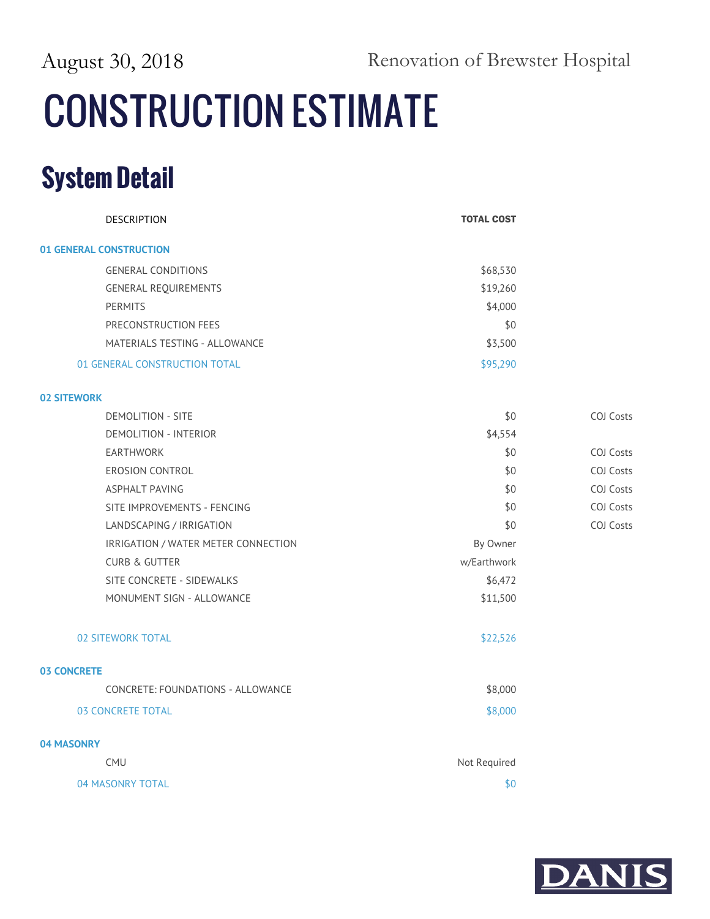August 30, 2018 Renovation of Brewster Hospital

## **CONSTRUCTION ESTIMATE**

| DESCRIPTION                         | <b>TOTAL COST</b> |                  |
|-------------------------------------|-------------------|------------------|
| 01 GENERAL CONSTRUCTION             |                   |                  |
| <b>GENERAL CONDITIONS</b>           | \$68,530          |                  |
| <b>GENERAL REQUIREMENTS</b>         | \$19,260          |                  |
| <b>PERMITS</b>                      | \$4,000           |                  |
| PRECONSTRUCTION FEES                | \$0               |                  |
| MATERIALS TESTING - ALLOWANCE       | \$3,500           |                  |
| 01 GENERAL CONSTRUCTION TOTAL       | \$95,290          |                  |
| <b>02 SITEWORK</b>                  |                   |                  |
| <b>DEMOLITION - SITE</b>            | \$0               | <b>COJ Costs</b> |
| <b>DEMOLITION - INTERIOR</b>        | \$4,554           |                  |
| EARTHWORK                           | \$0               | <b>COJ Costs</b> |
| EROSION CONTROL                     | \$0               | COJ Costs        |
| <b>ASPHALT PAVING</b>               | \$0               | COJ Costs        |
| SITE IMPROVEMENTS - FENCING         | \$0               | COJ Costs        |
| LANDSCAPING / IRRIGATION            | \$0               | COJ Costs        |
| IRRIGATION / WATER METER CONNECTION | By Owner          |                  |
| <b>CURB &amp; GUTTER</b>            | w/Earthwork       |                  |
| SITE CONCRETE - SIDEWALKS           | \$6,472           |                  |
| MONUMENT SIGN - ALLOWANCE           | \$11,500          |                  |
| <b>02 SITEWORK TOTAL</b>            | \$22,526          |                  |
| <b>03 CONCRETE</b>                  |                   |                  |
| CONCRETE: FOUNDATIONS - ALLOWANCE   | \$8,000           |                  |
| 03 CONCRETE TOTAL                   | \$8,000           |                  |
| 04 MASONRY                          |                   |                  |
| <b>CMU</b>                          | Not Required      |                  |
| 04 MASONRY TOTAL                    | \$0               |                  |

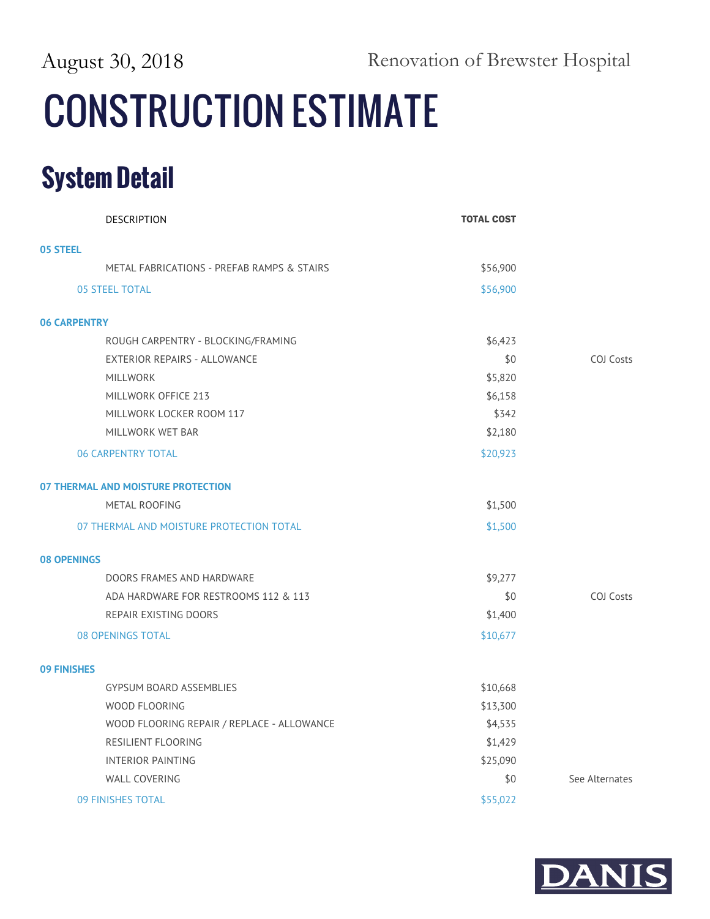## **CONSTRUCTION ESTIMATE**

| <b>DESCRIPTION</b>                         | <b>TOTAL COST</b> |                  |
|--------------------------------------------|-------------------|------------------|
| 05 STEEL                                   |                   |                  |
| METAL FABRICATIONS - PREFAB RAMPS & STAIRS | \$56,900          |                  |
| <b>05 STEEL TOTAL</b>                      | \$56,900          |                  |
| <b>06 CARPENTRY</b>                        |                   |                  |
| ROUGH CARPENTRY - BLOCKING/FRAMING         | \$6,423           |                  |
| <b>EXTERIOR REPAIRS - ALLOWANCE</b>        | \$0               | COJ Costs        |
| <b>MILLWORK</b>                            | \$5,820           |                  |
| MILLWORK OFFICE 213                        | \$6,158           |                  |
| MILLWORK LOCKER ROOM 117                   | \$342             |                  |
| MILLWORK WET BAR                           | \$2,180           |                  |
| <b>06 CARPENTRY TOTAL</b>                  | \$20,923          |                  |
| 07 THERMAL AND MOISTURE PROTECTION         |                   |                  |
| METAL ROOFING                              | \$1,500           |                  |
| 07 THERMAL AND MOISTURE PROTECTION TOTAL   | \$1,500           |                  |
| <b>08 OPENINGS</b>                         |                   |                  |
| DOORS FRAMES AND HARDWARE                  | \$9,277           |                  |
| ADA HARDWARE FOR RESTROOMS 112 & 113       | \$0               | <b>COJ Costs</b> |
| REPAIR EXISTING DOORS                      | \$1,400           |                  |
| <b>08 OPENINGS TOTAL</b>                   | \$10,677          |                  |
| <b>09 FINISHES</b>                         |                   |                  |
| <b>GYPSUM BOARD ASSEMBLIES</b>             | \$10,668          |                  |
| WOOD FLOORING                              | \$13,300          |                  |
| WOOD FLOORING REPAIR / REPLACE - ALLOWANCE | \$4,535           |                  |
| RESILIENT FLOORING                         | \$1,429           |                  |
| <b>INTERIOR PAINTING</b>                   | \$25,090          |                  |
| <b>WALL COVERING</b>                       | \$0               | See Alternates   |
| 09 FINISHES TOTAL                          | \$55,022          |                  |

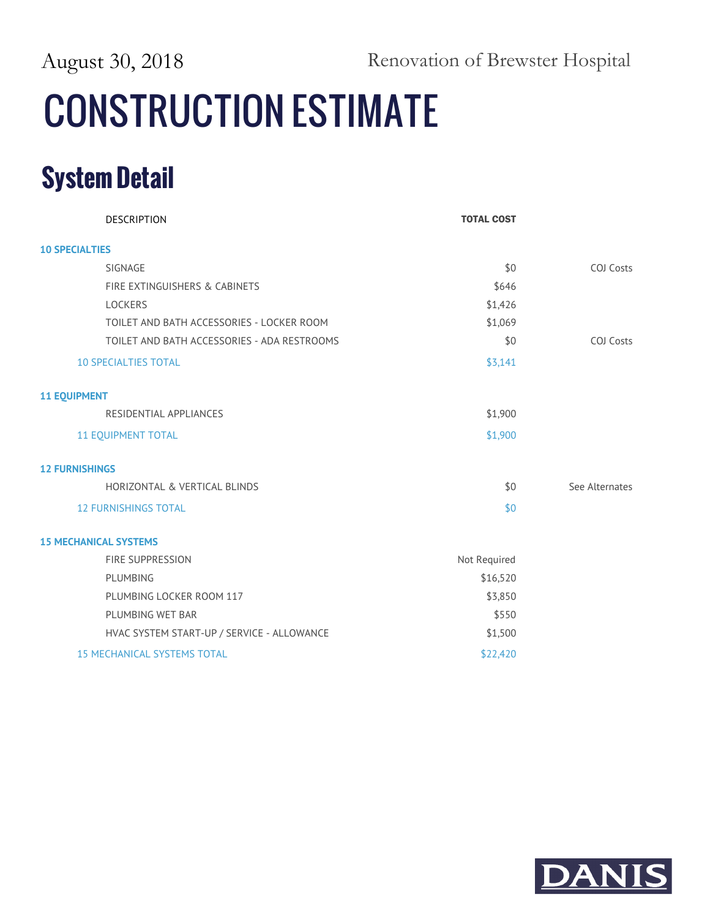August 30, 2018 Renovation of Brewster Hospital

## **CONSTRUCTION ESTIMATE**

| <b>DESCRIPTION</b>                          | <b>TOTAL COST</b> |                  |
|---------------------------------------------|-------------------|------------------|
| <b>10 SPECIALTIES</b>                       |                   |                  |
| SIGNAGE                                     | \$0               | <b>COJ Costs</b> |
| FIRE EXTINGUISHERS & CABINETS               | \$646             |                  |
| LOCKERS                                     | \$1,426           |                  |
| TOILET AND BATH ACCESSORIES - LOCKER ROOM   | \$1,069           |                  |
| TOILET AND BATH ACCESSORIES - ADA RESTROOMS | \$0               | COJ Costs        |
| <b>10 SPECIALTIES TOTAL</b>                 | \$3,141           |                  |
| <b>11 EQUIPMENT</b>                         |                   |                  |
| RESIDENTIAL APPLIANCES                      | \$1,900           |                  |
| <b>11 EQUIPMENT TOTAL</b>                   | \$1,900           |                  |
| <b>12 FURNISHINGS</b>                       |                   |                  |
| HORIZONTAL & VERTICAL BLINDS                | \$0               | See Alternates   |
| <b>12 FURNISHINGS TOTAL</b>                 | \$0               |                  |
| <b>15 MECHANICAL SYSTEMS</b>                |                   |                  |
| <b>FIRE SUPPRESSION</b>                     | Not Required      |                  |
| PLUMBING                                    | \$16,520          |                  |
| PLUMBING LOCKER ROOM 117                    | \$3,850           |                  |
| PLUMBING WET BAR                            | \$550             |                  |
| HVAC SYSTEM START-UP / SERVICE - ALLOWANCE  | \$1,500           |                  |
| <b>15 MECHANICAL SYSTEMS TOTAL</b>          | \$22,420          |                  |

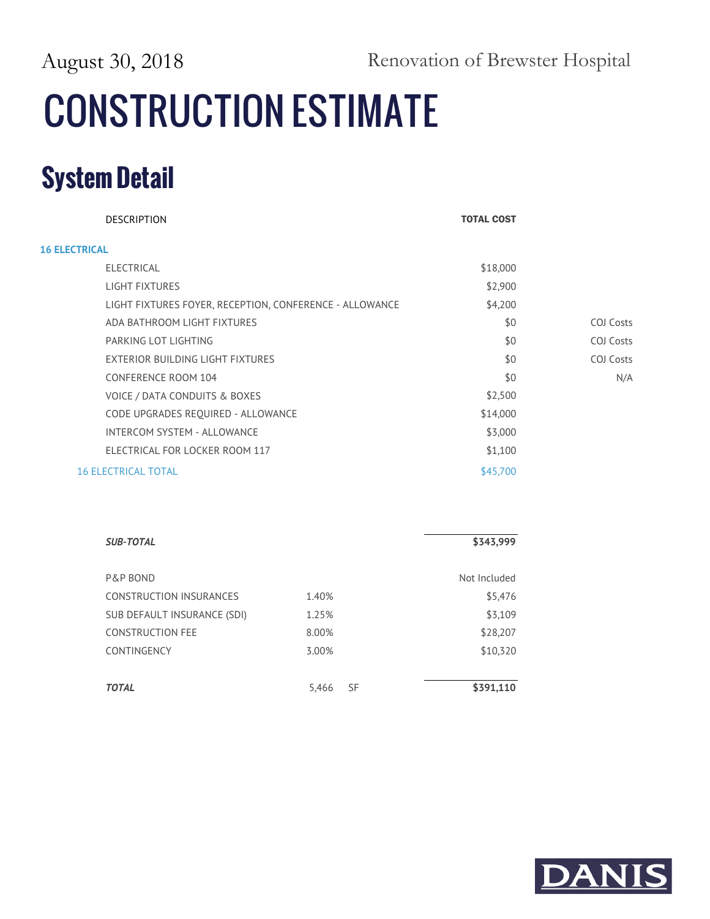August 30, 2018 Renovation of Brewster Hospital

## **CONSTRUCTION ESTIMATE**

| <b>DESCRIPTION</b>                                      | <b>TOTAL COST</b> |           |
|---------------------------------------------------------|-------------------|-----------|
| <b>16 ELECTRICAL</b>                                    |                   |           |
| <b>ELECTRICAL</b>                                       | \$18,000          |           |
| LIGHT FIXTURES                                          | \$2,900           |           |
| LIGHT FIXTURES FOYER, RECEPTION, CONFERENCE - ALLOWANCE | \$4,200           |           |
| ADA BATHROOM LIGHT FIXTURES                             | \$0               | COJ Costs |
| PARKING LOT LIGHTING                                    | \$0               | COJ Costs |
| EXTERIOR BUILDING LIGHT FIXTURES                        | \$0               | COJ Costs |
| <b>CONFERENCE ROOM 104</b>                              | \$0               | N/A       |
| VOICE / DATA CONDUITS & BOXES                           | \$2,500           |           |
| CODE UPGRADES REQUIRED - ALLOWANCE                      | \$14,000          |           |
| <b>INTERCOM SYSTEM - ALLOWANCE</b>                      | \$3,000           |           |
| ELECTRICAL FOR LOCKER ROOM 117                          | \$1,100           |           |
| <b>16 ELECTRICAL TOTAL</b>                              | \$45,700          |           |

| <b>SUB-TOTAL</b>            |                    | \$343,999    |
|-----------------------------|--------------------|--------------|
| P&P BOND                    |                    | Not Included |
| CONSTRUCTION INSURANCES     | 1.40%              | \$5,476      |
| SUB DEFAULT INSURANCE (SDI) | 1.25%              | \$3,109      |
| <b>CONSTRUCTION FEE</b>     | 8.00%              | \$28,207     |
| CONTINGENCY                 | 3.00%              | \$10,320     |
|                             |                    |              |
| <b>TOTAL</b>                | <b>SF</b><br>5,466 | \$391,110    |

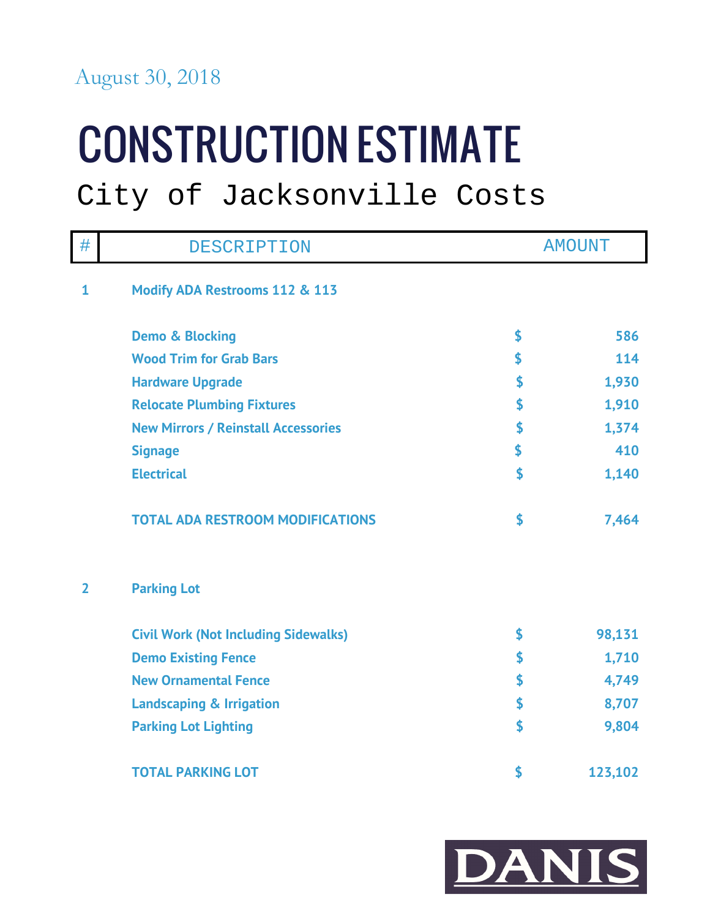### August 30, 2018

# **CONSTRUCTION ESTIMATE**

### City of Jacksonville Costs

| #              | DESCRIPTION                                 | <b>AMOUNT</b> |
|----------------|---------------------------------------------|---------------|
| $\mathbf 1$    | Modify ADA Restrooms 112 & 113              |               |
|                | <b>Demo &amp; Blocking</b>                  | \$<br>586     |
|                | <b>Wood Trim for Grab Bars</b>              | \$<br>114     |
|                | <b>Hardware Upgrade</b>                     | \$<br>1,930   |
|                | <b>Relocate Plumbing Fixtures</b>           | \$<br>1,910   |
|                | <b>New Mirrors / Reinstall Accessories</b>  | \$<br>1,374   |
|                | <b>Signage</b>                              | \$<br>410     |
|                | <b>Electrical</b>                           | \$<br>1,140   |
|                | <b>TOTAL ADA RESTROOM MODIFICATIONS</b>     | \$<br>7,464   |
| $\overline{2}$ | <b>Parking Lot</b>                          |               |
|                | <b>Civil Work (Not Including Sidewalks)</b> | \$<br>98,131  |
|                | <b>Demo Existing Fence</b>                  | \$<br>1,710   |
|                | <b>New Ornamental Fence</b>                 | \$<br>4,749   |
|                | <b>Landscaping &amp; Irrigation</b>         | \$<br>8,707   |
|                | <b>Parking Lot Lighting</b>                 | \$<br>9,804   |
|                | <b>TOTAL PARKING LOT</b>                    | \$<br>123,102 |

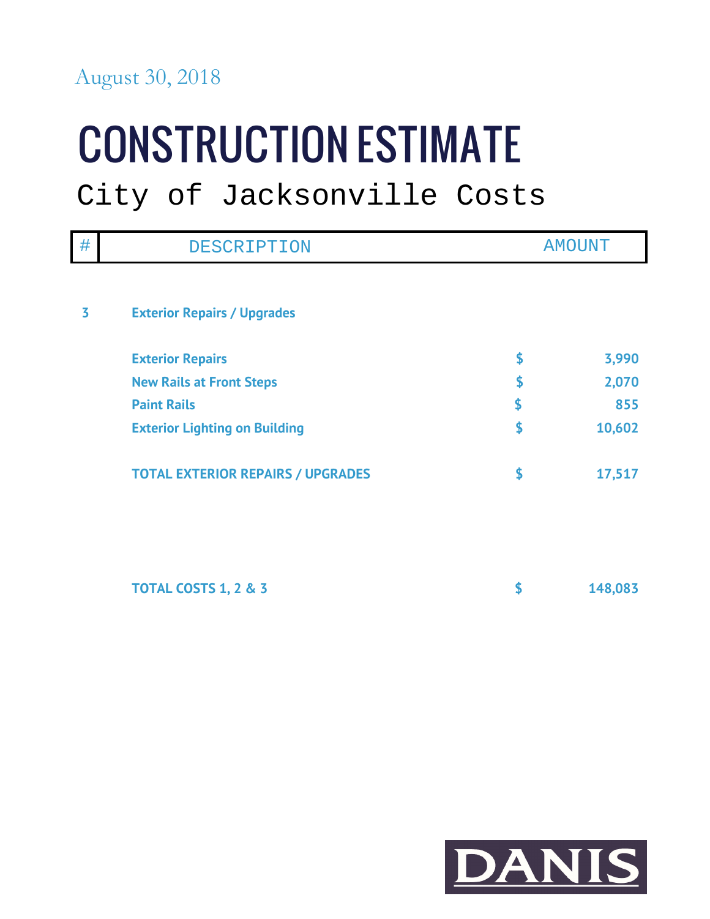### August 30, 2018

# **CONSTRUCTION ESTIMATE**

## City of Jacksonville Costs

| #                       | DESCRIPTION                              | <b>AMOUNT</b> |
|-------------------------|------------------------------------------|---------------|
|                         |                                          |               |
| $\overline{\mathbf{3}}$ | <b>Exterior Repairs / Upgrades</b>       |               |
|                         | <b>Exterior Repairs</b>                  | \$<br>3,990   |
|                         | <b>New Rails at Front Steps</b>          | \$<br>2,070   |
|                         | <b>Paint Rails</b>                       | \$<br>855     |
|                         | <b>Exterior Lighting on Building</b>     | \$<br>10,602  |
|                         | <b>TOTAL EXTERIOR REPAIRS / UPGRADES</b> | \$<br>17,517  |
|                         |                                          |               |
|                         | <b>TOTAL COSTS 1, 2 &amp; 3</b>          | \$<br>148,083 |

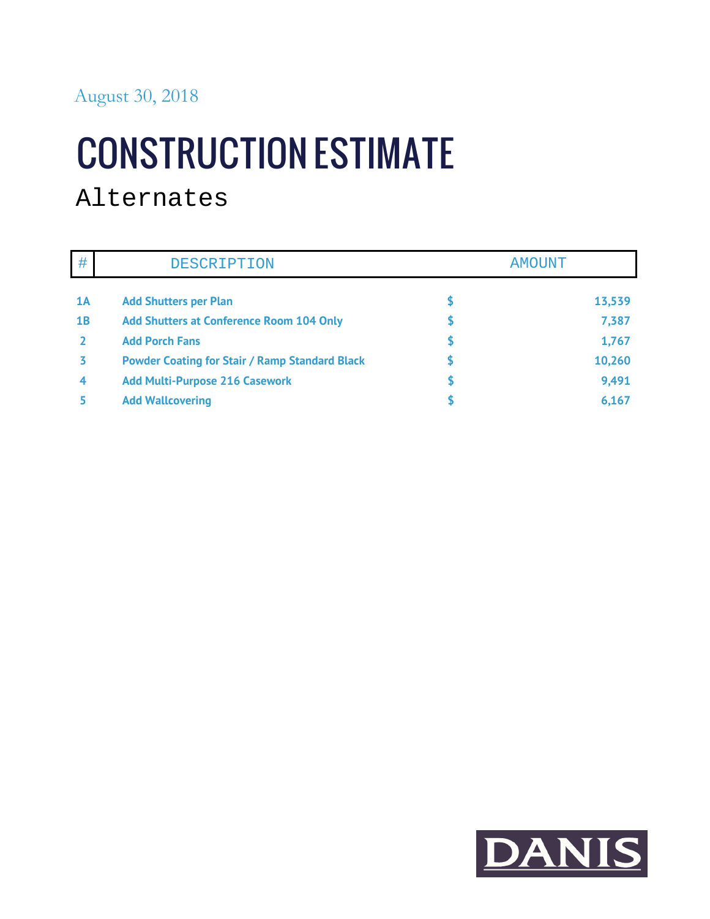## **CONSTRUCTION ESTIMATE**

### Alternates

| #  | DESCRIPTION                                           | <b>AMOUNT</b> |
|----|-------------------------------------------------------|---------------|
| 1A | <b>Add Shutters per Plan</b>                          | 13,539        |
| 1B | <b>Add Shutters at Conference Room 104 Only</b>       | 7,387         |
|    | <b>Add Porch Fans</b>                                 | 1,767         |
|    | <b>Powder Coating for Stair / Ramp Standard Black</b> | 10,260        |
| 4  | <b>Add Multi-Purpose 216 Casework</b>                 | 9,491         |
|    | <b>Add Wallcovering</b>                               | 6,167         |